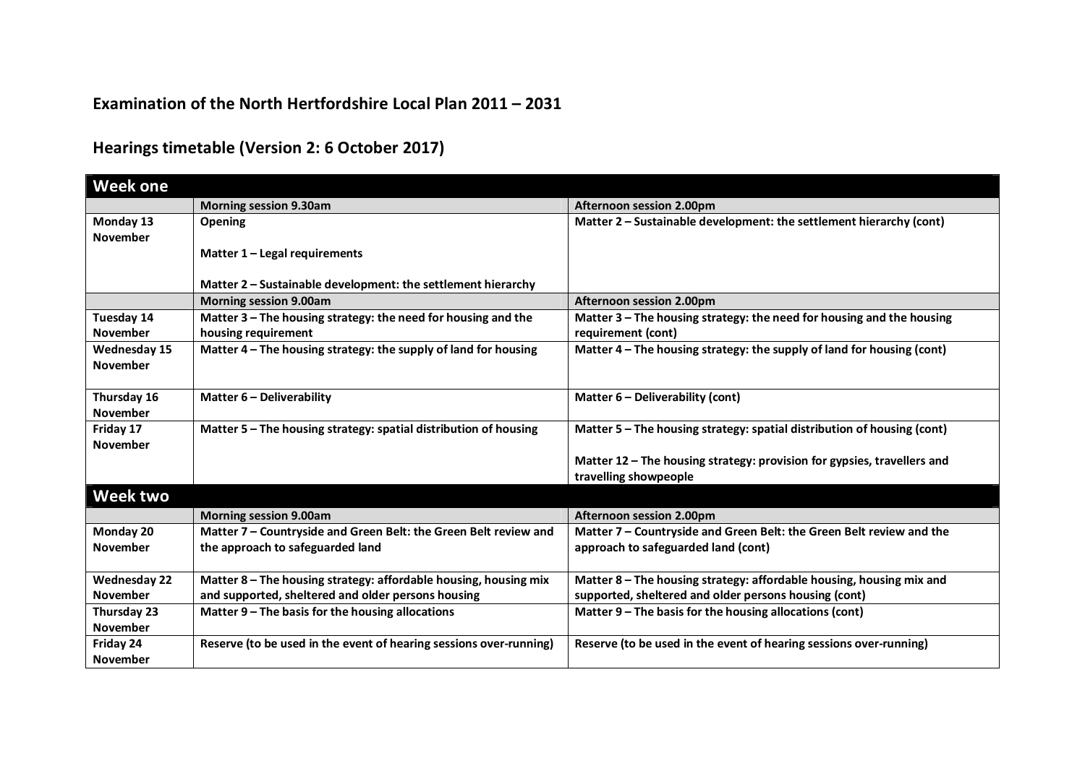## **Examination of the North Hertfordshire Local Plan 2011 – 2031**

## **Hearings timetable (Version 2: 6 October 2017)**

| <b>Week one</b>                        |                                                                                      |                                                                                                  |
|----------------------------------------|--------------------------------------------------------------------------------------|--------------------------------------------------------------------------------------------------|
|                                        | <b>Morning session 9.30am</b>                                                        | Afternoon session 2.00pm                                                                         |
| Monday 13<br>November                  | <b>Opening</b>                                                                       | Matter 2 - Sustainable development: the settlement hierarchy (cont)                              |
|                                        | Matter 1 - Legal requirements                                                        |                                                                                                  |
|                                        | Matter 2 - Sustainable development: the settlement hierarchy                         |                                                                                                  |
|                                        | <b>Morning session 9.00am</b>                                                        | Afternoon session 2.00pm                                                                         |
| Tuesday 14<br><b>November</b>          | Matter 3 - The housing strategy: the need for housing and the<br>housing requirement | Matter 3 - The housing strategy: the need for housing and the housing<br>requirement (cont)      |
| <b>Wednesday 15</b><br><b>November</b> | Matter 4 - The housing strategy: the supply of land for housing                      | Matter 4 - The housing strategy: the supply of land for housing (cont)                           |
| Thursday 16<br><b>November</b>         | Matter 6 - Deliverability                                                            | Matter 6 - Deliverability (cont)                                                                 |
| Friday 17<br><b>November</b>           | Matter 5 - The housing strategy: spatial distribution of housing                     | Matter 5 - The housing strategy: spatial distribution of housing (cont)                          |
|                                        |                                                                                      | Matter 12 - The housing strategy: provision for gypsies, travellers and<br>travelling showpeople |
| Week two                               |                                                                                      |                                                                                                  |
|                                        | <b>Morning session 9.00am</b>                                                        | Afternoon session 2.00pm                                                                         |
| Monday 20                              | Matter 7 - Countryside and Green Belt: the Green Belt review and                     | Matter 7 - Countryside and Green Belt: the Green Belt review and the                             |
| <b>November</b>                        | the approach to safeguarded land                                                     | approach to safeguarded land (cont)                                                              |
| <b>Wednesday 22</b>                    | Matter 8 - The housing strategy: affordable housing, housing mix                     | Matter 8 - The housing strategy: affordable housing, housing mix and                             |
| <b>November</b>                        | and supported, sheltered and older persons housing                                   | supported, sheltered and older persons housing (cont)                                            |
| Thursday 23                            | Matter 9 – The basis for the housing allocations                                     | Matter 9 – The basis for the housing allocations (cont)                                          |
| <b>November</b>                        |                                                                                      |                                                                                                  |
| Friday 24                              | Reserve (to be used in the event of hearing sessions over-running)                   | Reserve (to be used in the event of hearing sessions over-running)                               |
| <b>November</b>                        |                                                                                      |                                                                                                  |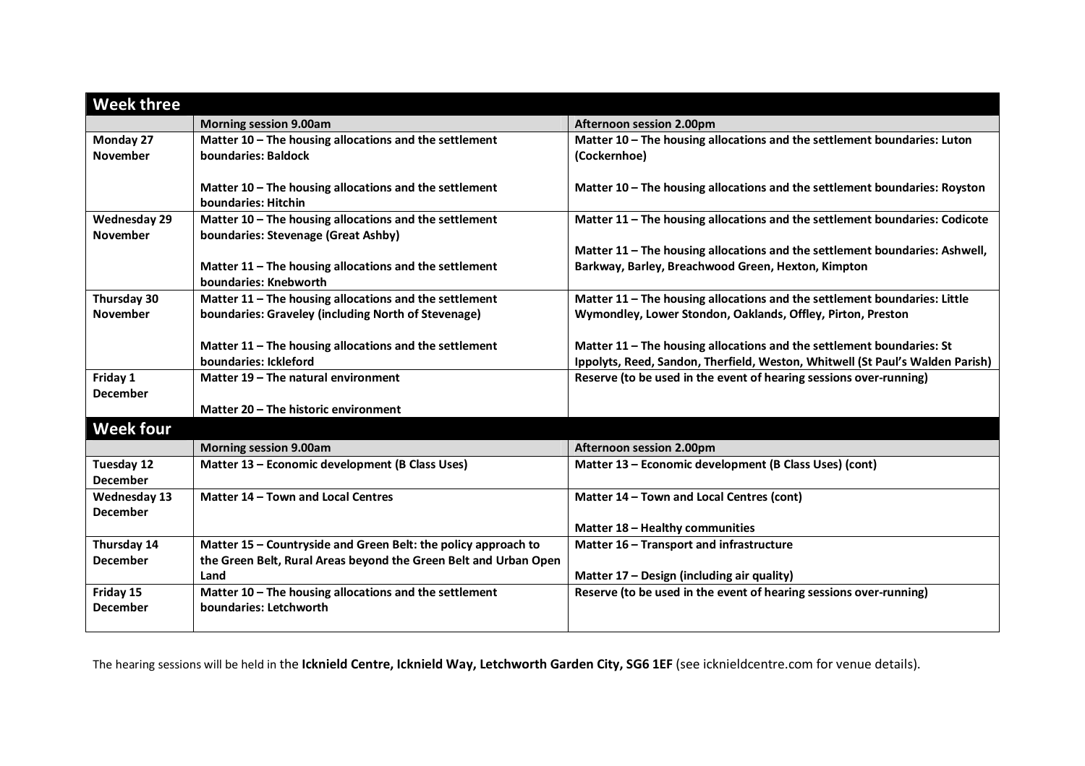| <b>Week three</b>   |                                                                  |                                                                               |
|---------------------|------------------------------------------------------------------|-------------------------------------------------------------------------------|
|                     | <b>Morning session 9.00am</b>                                    | Afternoon session 2.00pm                                                      |
| Monday 27           | Matter 10 - The housing allocations and the settlement           | Matter 10 - The housing allocations and the settlement boundaries: Luton      |
| <b>November</b>     | boundaries: Baldock                                              | (Cockernhoe)                                                                  |
|                     |                                                                  |                                                                               |
|                     | Matter 10 - The housing allocations and the settlement           | Matter 10 - The housing allocations and the settlement boundaries: Royston    |
|                     | boundaries: Hitchin                                              |                                                                               |
| <b>Wednesday 29</b> | Matter 10 - The housing allocations and the settlement           | Matter 11 - The housing allocations and the settlement boundaries: Codicote   |
| <b>November</b>     | boundaries: Stevenage (Great Ashby)                              |                                                                               |
|                     |                                                                  | Matter 11 - The housing allocations and the settlement boundaries: Ashwell,   |
|                     | Matter 11 - The housing allocations and the settlement           | Barkway, Barley, Breachwood Green, Hexton, Kimpton                            |
|                     | boundaries: Knebworth                                            |                                                                               |
| Thursday 30         | Matter 11 - The housing allocations and the settlement           | Matter 11 - The housing allocations and the settlement boundaries: Little     |
| <b>November</b>     | boundaries: Graveley (including North of Stevenage)              | Wymondley, Lower Stondon, Oaklands, Offley, Pirton, Preston                   |
|                     |                                                                  |                                                                               |
|                     | Matter 11 - The housing allocations and the settlement           | Matter 11 - The housing allocations and the settlement boundaries: St         |
|                     | boundaries: Ickleford                                            | Ippolyts, Reed, Sandon, Therfield, Weston, Whitwell (St Paul's Walden Parish) |
| Friday 1            | Matter 19 – The natural environment                              | Reserve (to be used in the event of hearing sessions over-running)            |
| <b>December</b>     |                                                                  |                                                                               |
|                     | Matter 20 - The historic environment                             |                                                                               |
| <b>Week four</b>    |                                                                  |                                                                               |
|                     | <b>Morning session 9.00am</b>                                    | Afternoon session 2.00pm                                                      |
| Tuesday 12          | Matter 13 - Economic development (B Class Uses)                  | Matter 13 - Economic development (B Class Uses) (cont)                        |
| <b>December</b>     |                                                                  |                                                                               |
| <b>Wednesday 13</b> | Matter 14 - Town and Local Centres                               | Matter 14 - Town and Local Centres (cont)                                     |
| <b>December</b>     |                                                                  |                                                                               |
|                     |                                                                  | Matter 18 - Healthy communities                                               |
| Thursday 14         | Matter 15 - Countryside and Green Belt: the policy approach to   | Matter 16 - Transport and infrastructure                                      |
| <b>December</b>     | the Green Belt, Rural Areas beyond the Green Belt and Urban Open |                                                                               |
|                     | Land                                                             | Matter 17 - Design (including air quality)                                    |
| Friday 15           | Matter 10 - The housing allocations and the settlement           | Reserve (to be used in the event of hearing sessions over-running)            |
| <b>December</b>     | boundaries: Letchworth                                           |                                                                               |
|                     |                                                                  |                                                                               |

The hearing sessions will be held in the **Icknield Centre, Icknield Way, Letchworth Garden City, SG6 1EF** (see icknieldcentre.com for venue details).